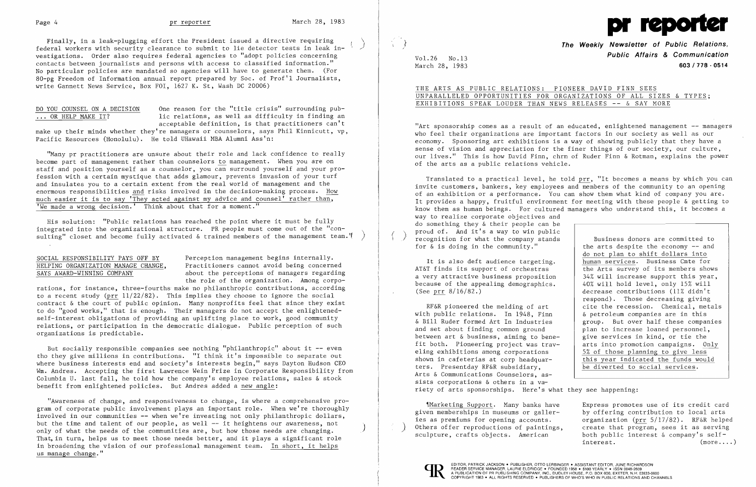Finally, in a leak-plugging effort the President issued a directive requiring ) federal workers with security clearance to submit to lie detector tests in leak investigations. Order also requires federal agencies to "adopt policies concerning contacts between journalists and persons with access to classified information." No particular policies are mandated so agencies will have to generate them. (For 80-pg Freedom of Information annual report prepared by Soc. of Prof'l Journalists, write Gannett News Service, Box FOI, 1627 K. St, Wash DC 20006)

DO YOU COUNSEL ON A DECISION One reason for the "title crisis" surrounding pub-<br>... OR HELP MAKE IT? lic relations, as well as difficulty in finding an lic relations, as well as difficulty in finding an acceptable definition, is that practitioners can't

"Many pr practitioners are unsure about their role and lack confidence to really become part of management rather than counselors to management. When you are on staff and position yourself as a counselor, you can surround yourself and your profession with a certain mystique that adds glamour, prevents invasion of your turf and insulates you to a certain extent from the real world of management and the enormous responsibilities and risks involved in the decision-making process. How much easier it is to say 'They acted against my advice and counsel' rather than, 'We made a wrong decision.' Think about that for a moment."

His solution: "Public relations has reached the point where it must be fully integrated into the organizational structure. PR people must come out of the "consulting" closet and become fully activated & trained members of the management team."

make up their minds whether they're managers or counselors, says Phil Kinnicutt, vp, Pacific Resources (Honolulu). He told UHawaii MBA Alumni Ass'n:

SOCIAL RESPONSIBILITY PAYS OFF BY<br>HELPING ORGANIZATION MANAGE CHANGE, Practitioners cannot avoid being concerne HELPING ORGANIZATION MANAGE CHANGE, Practitioners cannot avoid being concerned<br>SAYS AWARD-WINNING COMPANY about the perceptions of managers regarding about the perceptions of managers regarding the role of the organization. Among corpo-

"Art sponsorship comes as a result of an educated, enlightened management -- managers who feel their organizations are important factors in our society as well as our economy. Sponsoring art exhibitions is a way of showing publicly that they have a sense of vision and appreciation for the finer things of our society, our culture, our lives." This is how David Finn, chrm of Ruder Finn & Rotman, explains the power of the arts as a public relations vehicle.

rations, for instance, three-fourths make no philanthropic contributions, according to a recent study (prr  $11/22/82$ ). This implies they choose to ignore the social contract & the court of public opinion. Many nonprofits feel that since they exist to do "good works," that is enough. Their managers do not accept the enlightenedself-interest obligations of providing an uplifting place to work, good community relations, or participation in the democratic dialogue. Public perception of such organizations is predictable.

But socially responsible companies see nothing "philanthropic" about it **--** even tho they give millions in contributions. "I think it's impossible to separate out where business interests end and society's interests begin," says Dayton Hudson CEO Wm. Andres. Accepting the first Lawrence Wein Prize in Corporate Responsibility from Columbia U. last fall, he told how the company's employee relations, sales & stock benefit from enlightened policies. But Andres added a new angle:

> Express promotes use of its credit card by offering contribution to local arts organization (prr 5/17/82). RF&R helped create that program, sees it as serving both public interest & company's self- $\frac{1}{2}$  interest. (more....)

"Awareness of change, and responsiveness to change, is where a comprehensive program of corporate public involvement plays an important role. When we're thoroughly involved in our communities -- when we're investing not only philanthropic dollars,<br>but the time and talent of our people, as well -- it heightens our awareness, not only of what the needs of the communities are, but how those needs are changing. That, in turn, helps us to meet those needs better, and it plays a significant role in broadening the vision of our professional management team. In short, it helps us manage change."

 $March 28, 1983$ 



} **The Weekly Newsletter of Public Relations, Public Affairs & Communication** Vol. 26 No. 13

UNPARALLELED OPPORTUNITIES FOR ORGANIZATIONS OF ALL SIZES & TYPES;

# THE ARTS AS PUBLIC RELATIONS: PIONEER DAVID FINN SEES EXHIBITIONS SPEAK LOUDER THAN NEWS RELEASES **--** & SAY MORE

It is also deft audience targeting. AT&T finds its support of orchestras a very attractive business proposition because of the appealing demographics. (See prr 8/16/82.)

Translated to a practical level, he told prr, "It becomes a means by which you can invite customers, bankers, key employees and members of the community to an opening of an exhibition or a performance. You can show them what kind of company you are. It provides a happy, fruitful environment for meeting with these people & getting to know them as human beings. For cultured managers who understand this, it becomes a way to realize corporate objectives and do something they & their people can be proud of. And it's a way to win public<br>recognition for what the company stands for & is doing in the community." Business donors are committed to the arts despite the economy -- and

~IMarketing Support. Many banks have given memberships in museums or galleries as premiums for opening accounts. Others offer reproductions of paintings, sculpture, crafts objects. American



RF&R pioneered the melding of art with public relations. In 1948, Finn & Bill Ruder formed Art In Industries and set about finding common ground between art & business, aiming to benefit both. Pioneering project was traveling exhibitions among corporations shown in cafeterias at corp headquarters. Presentday RF&R subsidiary, Arts & Communications Counselors, assists corporations & others in a variety of arts sponsorships. Here's what they see happening:

do not plan to shift dollars into human services. Business Cmte for the Arts survey of its members shows 34% will increase support this year, 40% will hold level, only 15% will decrease contributions (11% didn't respond). Those decreasing giving cite the recession. Chemical, metals & petroleum companies are in this group. But over half these companies plan to increase loaned personnel, give services in kind, or tie the arts into promotion campaigns. Only 5% of those planning to give less this year indicated the funds would be diverted to sccial services.